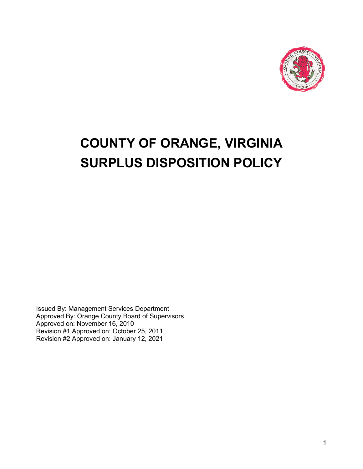

# **COUNTY OF ORANGE, VIRGINIA SURPLUS DISPOSITION POLICY**

Issued By: Management Services Department Approved By: Orange County Board of Supervisors Approved on: November 16, 2010 Revision #1 Approved on: October 25, 2011 Revision #2 Approved on: January 12, 2021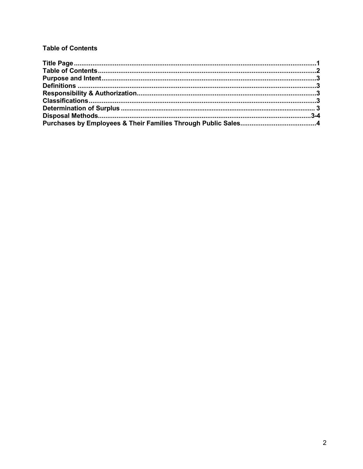# **Table of Contents**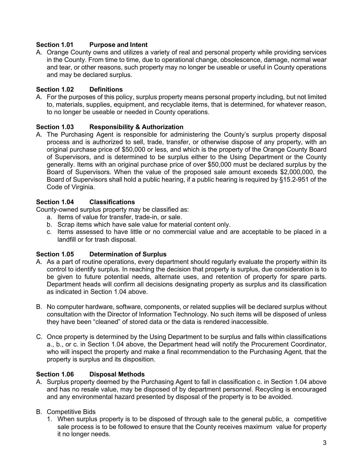# **Section 1.01 Purpose and Intent**

A. Orange County owns and utilizes a variety of real and personal property while providing services in the County. From time to time, due to operational change, obsolescence, damage, normal wear and tear, or other reasons, such property may no longer be useable or useful in County operations and may be declared surplus.

## **Section 1.02 Definitions**

A. For the purposes of this policy, surplus property means personal property including, but not limited to, materials, supplies, equipment, and recyclable items, that is determined, for whatever reason, to no longer be useable or needed in County operations.

## **Section 1.03 Responsibility & Authorization**

A. The Purchasing Agent is responsible for administering the County's surplus property disposal process and is authorized to sell, trade, transfer, or otherwise dispose of any property, with an original purchase price of \$50,000 or less, and which is the property of the Orange County Board of Supervisors, and is determined to be surplus either to the Using Department or the County generally. Items with an original purchase price of over \$50,000 must be declared surplus by the Board of Supervisors. When the value of the proposed sale amount exceeds \$2,000,000, the Board of Supervisors shall hold a public hearing, if a public hearing is required by §15.2-951 of the Code of Virginia.

## **Section 1.04 Classifications**

County-owned surplus property may be classified as:

- a. Items of value for transfer, trade-in, or sale.
- b. Scrap items which have sale value for material content only.
- c. Items assessed to have little or no commercial value and are acceptable to be placed in a landfill or for trash disposal.

#### **Section 1.05 Determination of Surplus**

- A. As a part of routine operations, every department should regularly evaluate the property within its control to identify surplus. In reaching the decision that property is surplus, due consideration is to be given to future potential needs, alternate uses, and retention of property for spare parts. Department heads will confirm all decisions designating property as surplus and its classification as indicated in Section 1.04 above.
- B. No computer hardware, software, components, or related supplies will be declared surplus without consultation with the Director of Information Technology. No such items will be disposed of unless they have been "cleaned" of stored data or the data is rendered inaccessible.
- C. Once property is determined by the Using Department to be surplus and falls within classifications a., b., or c. in Section 1.04 above, the Department head will notify the Procurement Coordinator, who will inspect the property and make a final recommendation to the Purchasing Agent, that the property is surplus and its disposition.

#### **Section 1.06 Disposal Methods**

- A. Surplus property deemed by the Purchasing Agent to fall in classification c. in Section 1.04 above and has no resale value, may be disposed of by department personnel. Recycling is encouraged and any environmental hazard presented by disposal of the property is to be avoided.
- B. Competitive Bids
	- 1. When surplus property is to be disposed of through sale to the general public, a competitive sale process is to be followed to ensure that the County receives maximum value for property it no longer needs.